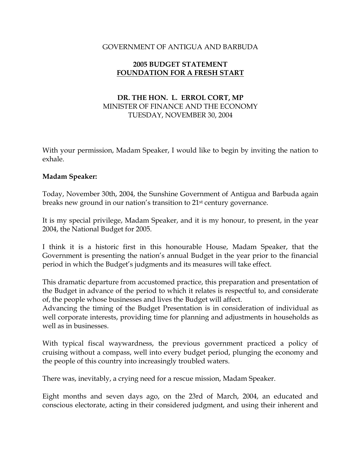#### GOVERNMENT OF ANTIGUA AND BARBUDA

### **2005 BUDGET STATEMENT FOUNDATION FOR A FRESH START**

### **DR. THE HON. L. ERROL CORT, MP**  MINISTER OF FINANCE AND THE ECONOMY TUESDAY, NOVEMBER 30, 2004

With your permission, Madam Speaker, I would like to begin by inviting the nation to exhale.

#### **Madam Speaker:**

Today, November 30th, 2004, the Sunshine Government of Antigua and Barbuda again breaks new ground in our nation's transition to 21st century governance.

It is my special privilege, Madam Speaker, and it is my honour, to present, in the year 2004, the National Budget for 2005.

I think it is a historic first in this honourable House, Madam Speaker, that the Government is presenting the nation's annual Budget in the year prior to the financial period in which the Budget's judgments and its measures will take effect.

This dramatic departure from accustomed practice, this preparation and presentation of the Budget in advance of the period to which it relates is respectful to, and considerate of, the people whose businesses and lives the Budget will affect.

Advancing the timing of the Budget Presentation is in consideration of individual as well corporate interests, providing time for planning and adjustments in households as well as in businesses.

With typical fiscal waywardness, the previous government practiced a policy of cruising without a compass, well into every budget period, plunging the economy and the people of this country into increasingly troubled waters.

There was, inevitably, a crying need for a rescue mission, Madam Speaker.

Eight months and seven days ago, on the 23rd of March, 2004, an educated and conscious electorate, acting in their considered judgment, and using their inherent and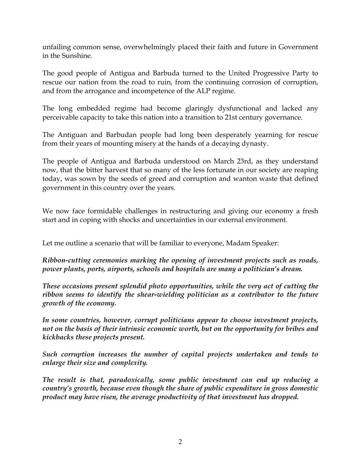unfailing common sense, overwhelmingly placed their faith and future in Government in the Sunshine.

The good people of Antigua and Barbuda turned to the United Progressive Party to rescue our nation from the road to ruin, from the continuing corrosion of corruption, and from the arrogance and incompetence of the ALP regime.

The long embedded regime had become glaringly dysfunctional and lacked any perceivable capacity to take this nation into a transition to 21st century governance.

The Antiguan and Barbudan people had long been desperately yearning for rescue from their years of mounting misery at the hands of a decaying dynasty.

The people of Antigua and Barbuda understood on March 23rd, as they understand now, that the bitter harvest that so many of the less fortunate in our society are reaping today, was sown by the seeds of greed and corruption and wanton waste that defined government in this country over the years.

We now face formidable challenges in restructuring and giving our economy a fresh start and in coping with shocks and uncertainties in our external environment.

Let me outline a scenario that will be familiar to everyone, Madam Speaker:

*Ribbon-cutting ceremonies marking the opening of investment projects such as roads, power plants, ports, airports, schools and hospitals are many a politician's dream.* 

*These occasions present splendid photo opportunities, while the very act of cutting the ribbon seems to identify the shear-wielding politician as a contributor to the future growth of the economy.* 

*In some countries, however, corrupt politicians appear to choose investment projects, not on the basis of their intrinsic economic worth, but on the opportunity for bribes and kickbacks these projects present.* 

*Such corruption increases the number of capital projects undertaken and tends to enlarge their size and complexity.* 

*The result is that, paradoxically, some public investment can end up reducing a country's growth, because even though the share of public expenditure in gross domestic product may have risen, the average productivity of that investment has dropped.*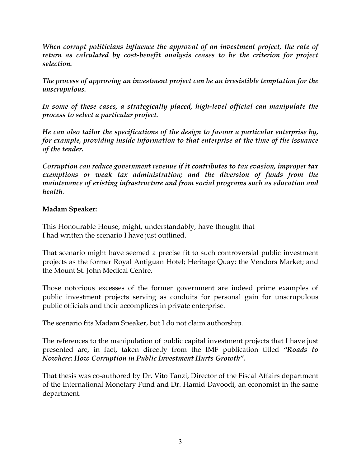*When corrupt politicians influence the approval of an investment project, the rate of return as calculated by cost-benefit analysis ceases to be the criterion for project selection.* 

*The process of approving an investment project can be an irresistible temptation for the unscrupulous.* 

In some of these cases, a strategically placed, high-level official can manipulate the *process to select a particular project.* 

*He can also tailor the specifications of the design to favour a particular enterprise by, for example, providing inside information to that enterprise at the time of the issuance of the tender.* 

*Corruption can reduce government revenue if it contributes to tax evasion, improper tax exemptions or weak tax administration; and the diversion of funds from the maintenance of existing infrastructure and from social programs such as education and health.* 

### **Madam Speaker:**

This Honourable House, might, understandably, have thought that I had written the scenario I have just outlined.

That scenario might have seemed a precise fit to such controversial public investment projects as the former Royal Antiguan Hotel; Heritage Quay; the Vendors Market; and the Mount St. John Medical Centre.

Those notorious excesses of the former government are indeed prime examples of public investment projects serving as conduits for personal gain for unscrupulous public officials and their accomplices in private enterprise.

The scenario fits Madam Speaker, but I do not claim authorship.

The references to the manipulation of public capital investment projects that I have just presented are, in fact, taken directly from the IMF publication titled *"Roads to Nowhere: How Corruption in Public Investment Hurts Growth".*

That thesis was co-authored by Dr. Vito Tanzi, Director of the Fiscal Affairs department of the International Monetary Fund and Dr. Hamid Davoodi, an economist in the same department.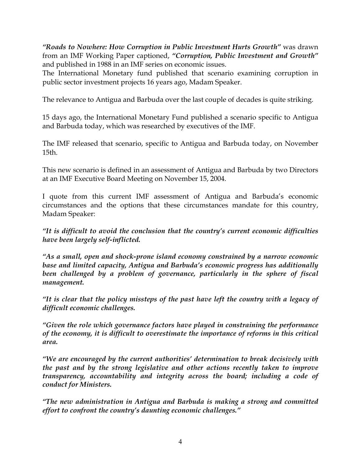*"Roads to Nowhere: How Corruption in Public Investment Hurts Growth"* was drawn from an IMF Working Paper captioned, *"Corruption, Public Investment and Growth"* and published in 1988 in an IMF series on economic issues.

The International Monetary fund published that scenario examining corruption in public sector investment projects 16 years ago, Madam Speaker.

The relevance to Antigua and Barbuda over the last couple of decades is quite striking.

15 days ago, the International Monetary Fund published a scenario specific to Antigua and Barbuda today, which was researched by executives of the IMF.

The IMF released that scenario, specific to Antigua and Barbuda today, on November 15th.

This new scenario is defined in an assessment of Antigua and Barbuda by two Directors at an IMF Executive Board Meeting on November 15, 2004.

I quote from this current IMF assessment of Antigua and Barbuda's economic circumstances and the options that these circumstances mandate for this country, Madam Speaker:

*"It is difficult to avoid the conclusion that the country's current economic difficulties have been largely self-inflicted.* 

*"As a small, open and shock-prone island economy constrained by a narrow economic base and limited capacity, Antigua and Barbuda's economic progress has additionally*  been challenged by a problem of governance, particularly in the sphere of fiscal *management.* 

*"It is clear that the policy missteps of the past have left the country with a legacy of difficult economic challenges.* 

*"Given the role which governance factors have played in constraining the performance of the economy, it is difficult to overestimate the importance of reforms in this critical area.* 

*"We are encouraged by the current authorities' determination to break decisively with the past and by the strong legislative and other actions recently taken to improve transparency, accountability and integrity across the board; including a code of conduct for Ministers.* 

*"The new administration in Antigua and Barbuda is making a strong and committed effort to confront the country's daunting economic challenges."*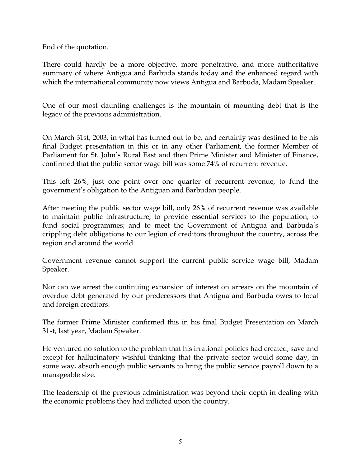End of the quotation.

There could hardly be a more objective, more penetrative, and more authoritative summary of where Antigua and Barbuda stands today and the enhanced regard with which the international community now views Antigua and Barbuda, Madam Speaker.

One of our most daunting challenges is the mountain of mounting debt that is the legacy of the previous administration.

On March 31st, 2003, in what has turned out to be, and certainly was destined to be his final Budget presentation in this or in any other Parliament, the former Member of Parliament for St. John's Rural East and then Prime Minister and Minister of Finance, confirmed that the public sector wage bill was some 74% of recurrent revenue.

This left 26%, just one point over one quarter of recurrent revenue, to fund the government's obligation to the Antiguan and Barbudan people.

After meeting the public sector wage bill, only 26% of recurrent revenue was available to maintain public infrastructure; to provide essential services to the population; to fund social programmes; and to meet the Government of Antigua and Barbuda's crippling debt obligations to our legion of creditors throughout the country, across the region and around the world.

Government revenue cannot support the current public service wage bill, Madam Speaker.

Nor can we arrest the continuing expansion of interest on arrears on the mountain of overdue debt generated by our predecessors that Antigua and Barbuda owes to local and foreign creditors.

The former Prime Minister confirmed this in his final Budget Presentation on March 31st, last year, Madam Speaker.

He ventured no solution to the problem that his irrational policies had created, save and except for hallucinatory wishful thinking that the private sector would some day, in some way, absorb enough public servants to bring the public service payroll down to a manageable size.

The leadership of the previous administration was beyond their depth in dealing with the economic problems they had inflicted upon the country.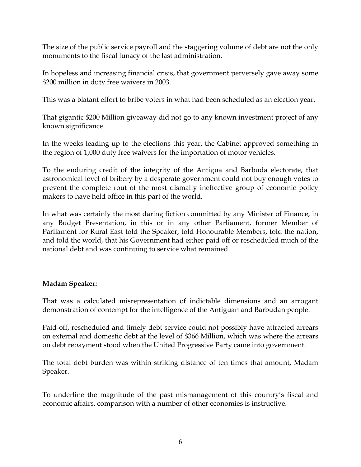The size of the public service payroll and the staggering volume of debt are not the only monuments to the fiscal lunacy of the last administration.

In hopeless and increasing financial crisis, that government perversely gave away some \$200 million in duty free waivers in 2003.

This was a blatant effort to bribe voters in what had been scheduled as an election year.

That gigantic \$200 Million giveaway did not go to any known investment project of any known significance.

In the weeks leading up to the elections this year, the Cabinet approved something in the region of 1,000 duty free waivers for the importation of motor vehicles.

To the enduring credit of the integrity of the Antigua and Barbuda electorate, that astronomical level of bribery by a desperate government could not buy enough votes to prevent the complete rout of the most dismally ineffective group of economic policy makers to have held office in this part of the world.

In what was certainly the most daring fiction committed by any Minister of Finance, in any Budget Presentation, in this or in any other Parliament, former Member of Parliament for Rural East told the Speaker, told Honourable Members, told the nation, and told the world, that his Government had either paid off or rescheduled much of the national debt and was continuing to service what remained.

# **Madam Speaker:**

That was a calculated misrepresentation of indictable dimensions and an arrogant demonstration of contempt for the intelligence of the Antiguan and Barbudan people.

Paid-off, rescheduled and timely debt service could not possibly have attracted arrears on external and domestic debt at the level of \$366 Million, which was where the arrears on debt repayment stood when the United Progressive Party came into government.

The total debt burden was within striking distance of ten times that amount, Madam Speaker.

To underline the magnitude of the past mismanagement of this country's fiscal and economic affairs, comparison with a number of other economies is instructive.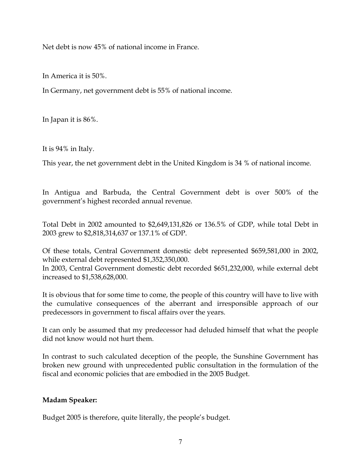Net debt is now 45% of national income in France.

In America it is 50%.

In Germany, net government debt is 55% of national income.

In Japan it is 86%.

It is 94% in Italy.

This year, the net government debt in the United Kingdom is 34 % of national income.

In Antigua and Barbuda, the Central Government debt is over 500% of the government's highest recorded annual revenue.

Total Debt in 2002 amounted to \$2,649,131,826 or 136.5% of GDP, while total Debt in 2003 grew to \$2,818,314,637 or 137.1% of GDP.

Of these totals, Central Government domestic debt represented \$659,581,000 in 2002, while external debt represented \$1,352,350,000.

In 2003, Central Government domestic debt recorded \$651,232,000, while external debt increased to \$1,538,628,000.

It is obvious that for some time to come, the people of this country will have to live with the cumulative consequences of the aberrant and irresponsible approach of our predecessors in government to fiscal affairs over the years.

It can only be assumed that my predecessor had deluded himself that what the people did not know would not hurt them.

In contrast to such calculated deception of the people, the Sunshine Government has broken new ground with unprecedented public consultation in the formulation of the fiscal and economic policies that are embodied in the 2005 Budget.

## **Madam Speaker:**

Budget 2005 is therefore, quite literally, the people's budget.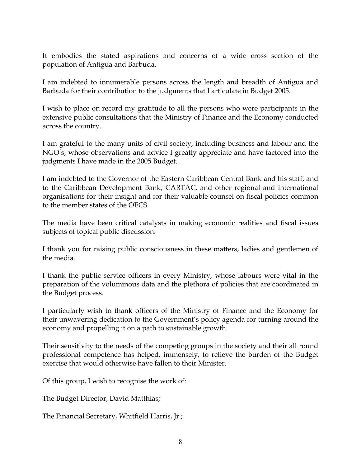It embodies the stated aspirations and concerns of a wide cross section of the population of Antigua and Barbuda.

I am indebted to innumerable persons across the length and breadth of Antigua and Barbuda for their contribution to the judgments that I articulate in Budget 2005.

I wish to place on record my gratitude to all the persons who were participants in the extensive public consultations that the Ministry of Finance and the Economy conducted across the country.

I am grateful to the many units of civil society, including business and labour and the NGO's, whose observations and advice I greatly appreciate and have factored into the judgments I have made in the 2005 Budget.

I am indebted to the Governor of the Eastern Caribbean Central Bank and his staff, and to the Caribbean Development Bank, CARTAC, and other regional and international organisations for their insight and for their valuable counsel on fiscal policies common to the member states of the OECS.

The media have been critical catalysts in making economic realities and fiscal issues subjects of topical public discussion.

I thank you for raising public consciousness in these matters, ladies and gentlemen of the media.

I thank the public service officers in every Ministry, whose labours were vital in the preparation of the voluminous data and the plethora of policies that are coordinated in the Budget process.

I particularly wish to thank officers of the Ministry of Finance and the Economy for their unwavering dedication to the Government's policy agenda for turning around the economy and propelling it on a path to sustainable growth.

Their sensitivity to the needs of the competing groups in the society and their all round professional competence has helped, immensely, to relieve the burden of the Budget exercise that would otherwise have fallen to their Minister.

Of this group, I wish to recognise the work of:

The Budget Director, David Matthias;

The Financial Secretary, Whitfield Harris, Jr.;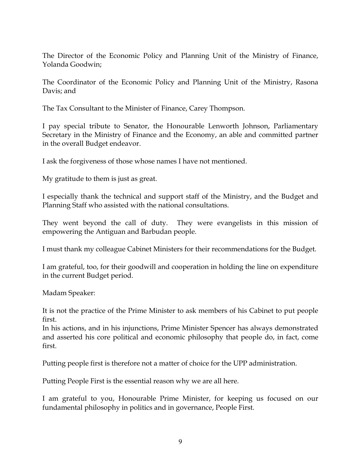The Director of the Economic Policy and Planning Unit of the Ministry of Finance, Yolanda Goodwin;

The Coordinator of the Economic Policy and Planning Unit of the Ministry, Rasona Davis; and

The Tax Consultant to the Minister of Finance, Carey Thompson.

I pay special tribute to Senator, the Honourable Lenworth Johnson, Parliamentary Secretary in the Ministry of Finance and the Economy, an able and committed partner in the overall Budget endeavor.

I ask the forgiveness of those whose names I have not mentioned.

My gratitude to them is just as great.

I especially thank the technical and support staff of the Ministry, and the Budget and Planning Staff who assisted with the national consultations.

They went beyond the call of duty. They were evangelists in this mission of empowering the Antiguan and Barbudan people.

I must thank my colleague Cabinet Ministers for their recommendations for the Budget.

I am grateful, too, for their goodwill and cooperation in holding the line on expenditure in the current Budget period.

Madam Speaker:

It is not the practice of the Prime Minister to ask members of his Cabinet to put people first.

In his actions, and in his injunctions, Prime Minister Spencer has always demonstrated and asserted his core political and economic philosophy that people do, in fact, come first.

Putting people first is therefore not a matter of choice for the UPP administration.

Putting People First is the essential reason why we are all here.

I am grateful to you, Honourable Prime Minister, for keeping us focused on our fundamental philosophy in politics and in governance, People First.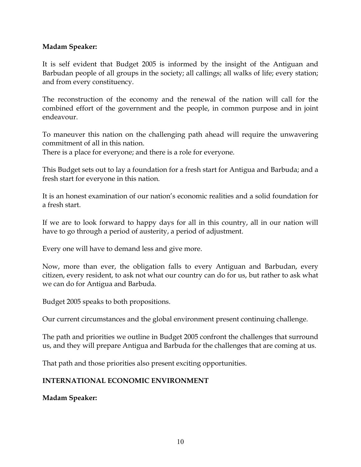### **Madam Speaker:**

It is self evident that Budget 2005 is informed by the insight of the Antiguan and Barbudan people of all groups in the society; all callings; all walks of life; every station; and from every constituency.

The reconstruction of the economy and the renewal of the nation will call for the combined effort of the government and the people, in common purpose and in joint endeavour.

To maneuver this nation on the challenging path ahead will require the unwavering commitment of all in this nation.

There is a place for everyone; and there is a role for everyone.

This Budget sets out to lay a foundation for a fresh start for Antigua and Barbuda; and a fresh start for everyone in this nation.

It is an honest examination of our nation's economic realities and a solid foundation for a fresh start.

If we are to look forward to happy days for all in this country, all in our nation will have to go through a period of austerity, a period of adjustment.

Every one will have to demand less and give more.

Now, more than ever, the obligation falls to every Antiguan and Barbudan, every citizen, every resident, to ask not what our country can do for us, but rather to ask what we can do for Antigua and Barbuda.

Budget 2005 speaks to both propositions.

Our current circumstances and the global environment present continuing challenge.

The path and priorities we outline in Budget 2005 confront the challenges that surround us, and they will prepare Antigua and Barbuda for the challenges that are coming at us.

That path and those priorities also present exciting opportunities.

#### **INTERNATIONAL ECONOMIC ENVIRONMENT**

**Madam Speaker:**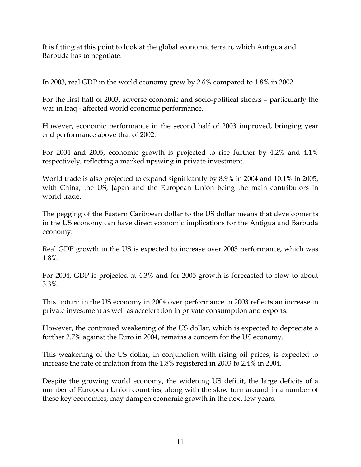It is fitting at this point to look at the global economic terrain, which Antigua and Barbuda has to negotiate.

In 2003, real GDP in the world economy grew by 2.6% compared to 1.8% in 2002.

For the first half of 2003, adverse economic and socio-political shocks – particularly the war in Iraq - affected world economic performance.

However, economic performance in the second half of 2003 improved, bringing year end performance above that of 2002.

For 2004 and 2005, economic growth is projected to rise further by 4.2% and 4.1% respectively, reflecting a marked upswing in private investment.

World trade is also projected to expand significantly by 8.9% in 2004 and 10.1% in 2005, with China, the US, Japan and the European Union being the main contributors in world trade.

The pegging of the Eastern Caribbean dollar to the US dollar means that developments in the US economy can have direct economic implications for the Antigua and Barbuda economy.

Real GDP growth in the US is expected to increase over 2003 performance, which was 1.8%.

For 2004, GDP is projected at 4.3% and for 2005 growth is forecasted to slow to about 3.3%.

This upturn in the US economy in 2004 over performance in 2003 reflects an increase in private investment as well as acceleration in private consumption and exports.

However, the continued weakening of the US dollar, which is expected to depreciate a further 2.7% against the Euro in 2004, remains a concern for the US economy.

This weakening of the US dollar, in conjunction with rising oil prices, is expected to increase the rate of inflation from the 1.8% registered in 2003 to 2.4% in 2004.

Despite the growing world economy, the widening US deficit, the large deficits of a number of European Union countries, along with the slow turn around in a number of these key economies, may dampen economic growth in the next few years.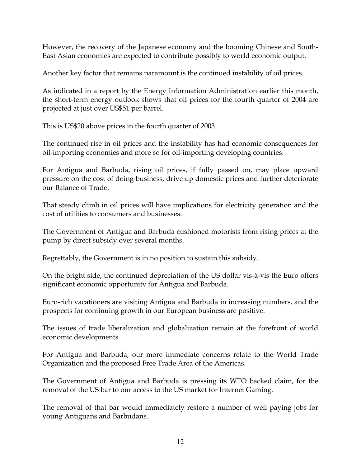However, the recovery of the Japanese economy and the booming Chinese and South-East Asian economies are expected to contribute possibly to world economic output.

Another key factor that remains paramount is the continued instability of oil prices.

As indicated in a report by the Energy Information Administration earlier this month, the short-term energy outlook shows that oil prices for the fourth quarter of 2004 are projected at just over US\$51 per barrel.

This is US\$20 above prices in the fourth quarter of 2003.

The continued rise in oil prices and the instability has had economic consequences for oil-importing economies and more so for oil-importing developing countries.

For Antigua and Barbuda, rising oil prices, if fully passed on, may place upward pressure on the cost of doing business, drive up domestic prices and further deteriorate our Balance of Trade.

That steady climb in oil prices will have implications for electricity generation and the cost of utilities to consumers and businesses.

The Government of Antigua and Barbuda cushioned motorists from rising prices at the pump by direct subsidy over several months.

Regrettably, the Government is in no position to sustain this subsidy.

On the bright side, the continued depreciation of the US dollar vis-à-vis the Euro offers significant economic opportunity for Antigua and Barbuda.

Euro-rich vacationers are visiting Antigua and Barbuda in increasing numbers, and the prospects for continuing growth in our European business are positive.

The issues of trade liberalization and globalization remain at the forefront of world economic developments.

For Antigua and Barbuda, our more immediate concerns relate to the World Trade Organization and the proposed Free Trade Area of the Americas.

The Government of Antigua and Barbuda is pressing its WTO backed claim, for the removal of the US bar to our access to the US market for Internet Gaming.

The removal of that bar would immediately restore a number of well paying jobs for young Antiguans and Barbudans.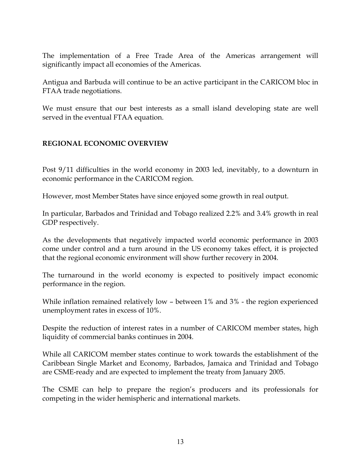The implementation of a Free Trade Area of the Americas arrangement will significantly impact all economies of the Americas.

Antigua and Barbuda will continue to be an active participant in the CARICOM bloc in FTAA trade negotiations.

We must ensure that our best interests as a small island developing state are well served in the eventual FTAA equation.

### **REGIONAL ECONOMIC OVERVIEW**

Post 9/11 difficulties in the world economy in 2003 led, inevitably, to a downturn in economic performance in the CARICOM region.

However, most Member States have since enjoyed some growth in real output.

In particular, Barbados and Trinidad and Tobago realized 2.2% and 3.4% growth in real GDP respectively.

As the developments that negatively impacted world economic performance in 2003 come under control and a turn around in the US economy takes effect, it is projected that the regional economic environment will show further recovery in 2004.

The turnaround in the world economy is expected to positively impact economic performance in the region.

While inflation remained relatively low – between 1% and 3% - the region experienced unemployment rates in excess of 10%.

Despite the reduction of interest rates in a number of CARICOM member states, high liquidity of commercial banks continues in 2004.

While all CARICOM member states continue to work towards the establishment of the Caribbean Single Market and Economy, Barbados, Jamaica and Trinidad and Tobago are CSME-ready and are expected to implement the treaty from January 2005.

The CSME can help to prepare the region's producers and its professionals for competing in the wider hemispheric and international markets.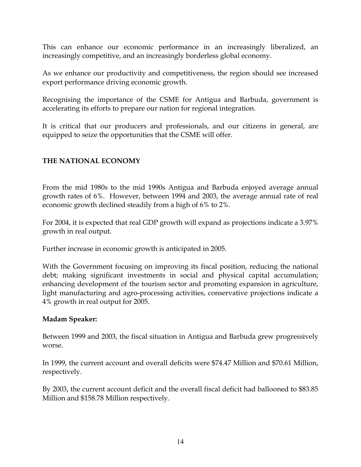This can enhance our economic performance in an increasingly liberalized, an increasingly competitive, and an increasingly borderless global economy.

As we enhance our productivity and competitiveness, the region should see increased export performance driving economic growth.

Recognising the importance of the CSME for Antigua and Barbuda, government is accelerating its efforts to prepare our nation for regional integration.

It is critical that our producers and professionals, and our citizens in general, are equipped to seize the opportunities that the CSME will offer.

# **THE NATIONAL ECONOMY**

From the mid 1980s to the mid 1990s Antigua and Barbuda enjoyed average annual growth rates of 6%. However, between 1994 and 2003, the average annual rate of real economic growth declined steadily from a high of 6% to 2%.

For 2004, it is expected that real GDP growth will expand as projections indicate a 3.97% growth in real output.

Further increase in economic growth is anticipated in 2005.

With the Government focusing on improving its fiscal position, reducing the national debt; making significant investments in social and physical capital accumulation; enhancing development of the tourism sector and promoting expansion in agriculture, light manufacturing and agro-processing activities, conservative projections indicate a 4% growth in real output for 2005.

## **Madam Speaker:**

Between 1999 and 2003, the fiscal situation in Antigua and Barbuda grew progressively worse.

In 1999, the current account and overall deficits were \$74.47 Million and \$70.61 Million, respectively.

By 2003, the current account deficit and the overall fiscal deficit had ballooned to \$83.85 Million and \$158.78 Million respectively.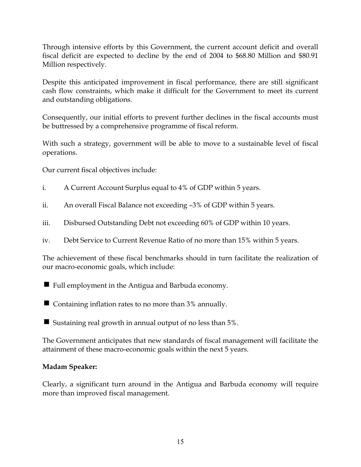Through intensive efforts by this Government, the current account deficit and overall fiscal deficit are expected to decline by the end of 2004 to \$68.80 Million and \$80.91 Million respectively.

Despite this anticipated improvement in fiscal performance, there are still significant cash flow constraints, which make it difficult for the Government to meet its current and outstanding obligations.

Consequently, our initial efforts to prevent further declines in the fiscal accounts must be buttressed by a comprehensive programme of fiscal reform.

With such a strategy, government will be able to move to a sustainable level of fiscal operations.

Our current fiscal objectives include:

- i. A Current Account Surplus equal to 4% of GDP within 5 years.
- ii. An overall Fiscal Balance not exceeding –3% of GDP within 5 years.
- iii. Disbursed Outstanding Debt not exceeding 60% of GDP within 10 years.
- iv. Debt Service to Current Revenue Ratio of no more than 15% within 5 years.

The achievement of these fiscal benchmarks should in turn facilitate the realization of our macro-economic goals, which include:

- Full employment in the Antigua and Barbuda economy.
- Containing inflation rates to no more than 3% annually.
- Sustaining real growth in annual output of no less than  $5\%$ .

The Government anticipates that new standards of fiscal management will facilitate the attainment of these macro-economic goals within the next 5 years.

#### **Madam Speaker:**

Clearly, a significant turn around in the Antigua and Barbuda economy will require more than improved fiscal management.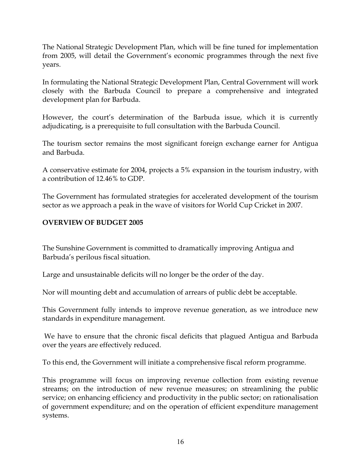The National Strategic Development Plan, which will be fine tuned for implementation from 2005, will detail the Government's economic programmes through the next five years.

In formulating the National Strategic Development Plan, Central Government will work closely with the Barbuda Council to prepare a comprehensive and integrated development plan for Barbuda.

However, the court's determination of the Barbuda issue, which it is currently adjudicating, is a prerequisite to full consultation with the Barbuda Council.

The tourism sector remains the most significant foreign exchange earner for Antigua and Barbuda.

A conservative estimate for 2004, projects a 5% expansion in the tourism industry, with a contribution of 12.46% to GDP.

The Government has formulated strategies for accelerated development of the tourism sector as we approach a peak in the wave of visitors for World Cup Cricket in 2007.

### **OVERVIEW OF BUDGET 2005**

The Sunshine Government is committed to dramatically improving Antigua and Barbuda's perilous fiscal situation.

Large and unsustainable deficits will no longer be the order of the day.

Nor will mounting debt and accumulation of arrears of public debt be acceptable.

This Government fully intends to improve revenue generation, as we introduce new standards in expenditure management.

 We have to ensure that the chronic fiscal deficits that plagued Antigua and Barbuda over the years are effectively reduced.

To this end, the Government will initiate a comprehensive fiscal reform programme.

This programme will focus on improving revenue collection from existing revenue streams; on the introduction of new revenue measures; on streamlining the public service; on enhancing efficiency and productivity in the public sector; on rationalisation of government expenditure; and on the operation of efficient expenditure management systems.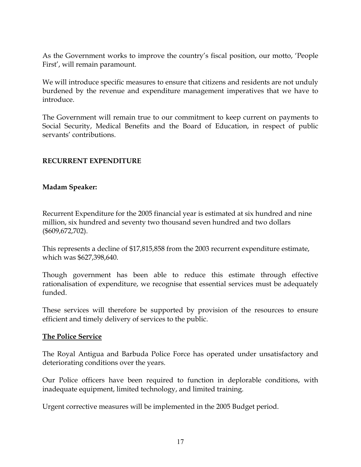As the Government works to improve the country's fiscal position, our motto, 'People First', will remain paramount.

We will introduce specific measures to ensure that citizens and residents are not unduly burdened by the revenue and expenditure management imperatives that we have to introduce.

The Government will remain true to our commitment to keep current on payments to Social Security, Medical Benefits and the Board of Education, in respect of public servants' contributions.

### **RECURRENT EXPENDITURE**

#### **Madam Speaker:**

Recurrent Expenditure for the 2005 financial year is estimated at six hundred and nine million, six hundred and seventy two thousand seven hundred and two dollars (\$609,672,702).

This represents a decline of \$17,815,858 from the 2003 recurrent expenditure estimate, which was \$627,398,640.

Though government has been able to reduce this estimate through effective rationalisation of expenditure, we recognise that essential services must be adequately funded.

These services will therefore be supported by provision of the resources to ensure efficient and timely delivery of services to the public.

#### **The Police Service**

The Royal Antigua and Barbuda Police Force has operated under unsatisfactory and deteriorating conditions over the years.

Our Police officers have been required to function in deplorable conditions, with inadequate equipment, limited technology, and limited training.

Urgent corrective measures will be implemented in the 2005 Budget period.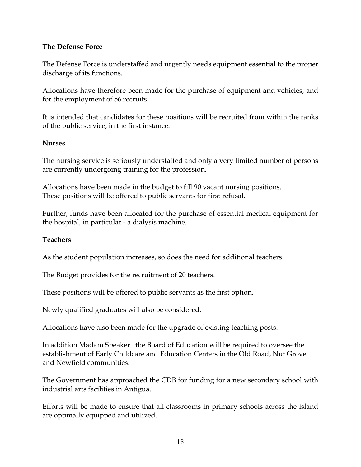### **The Defense Force**

The Defense Force is understaffed and urgently needs equipment essential to the proper discharge of its functions.

Allocations have therefore been made for the purchase of equipment and vehicles, and for the employment of 56 recruits.

It is intended that candidates for these positions will be recruited from within the ranks of the public service, in the first instance.

#### **Nurses**

The nursing service is seriously understaffed and only a very limited number of persons are currently undergoing training for the profession.

Allocations have been made in the budget to fill 90 vacant nursing positions. These positions will be offered to public servants for first refusal.

Further, funds have been allocated for the purchase of essential medical equipment for the hospital, in particular - a dialysis machine.

## **Teachers**

As the student population increases, so does the need for additional teachers.

The Budget provides for the recruitment of 20 teachers.

These positions will be offered to public servants as the first option.

Newly qualified graduates will also be considered.

Allocations have also been made for the upgrade of existing teaching posts.

In addition Madam Speaker the Board of Education will be required to oversee the establishment of Early Childcare and Education Centers in the Old Road, Nut Grove and Newfield communities.

The Government has approached the CDB for funding for a new secondary school with industrial arts facilities in Antigua.

Efforts will be made to ensure that all classrooms in primary schools across the island are optimally equipped and utilized.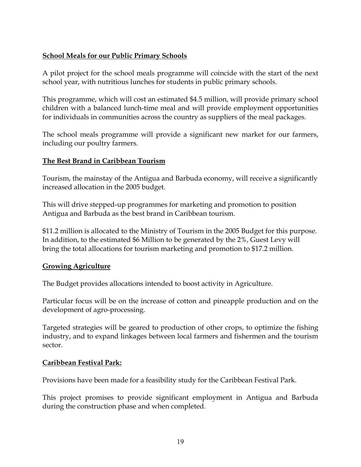## **School Meals for our Public Primary Schools**

A pilot project for the school meals programme will coincide with the start of the next school year, with nutritious lunches for students in public primary schools.

This programme, which will cost an estimated \$4.5 million, will provide primary school children with a balanced lunch-time meal and will provide employment opportunities for individuals in communities across the country as suppliers of the meal packages.

The school meals programme will provide a significant new market for our farmers, including our poultry farmers.

### **The Best Brand in Caribbean Tourism**

Tourism, the mainstay of the Antigua and Barbuda economy, will receive a significantly increased allocation in the 2005 budget.

This will drive stepped-up programmes for marketing and promotion to position Antigua and Barbuda as the best brand in Caribbean tourism.

\$11.2 million is allocated to the Ministry of Tourism in the 2005 Budget for this purpose. In addition, to the estimated \$6 Million to be generated by the 2%, Guest Levy will bring the total allocations for tourism marketing and promotion to \$17.2 million.

## **Growing Agriculture**

The Budget provides allocations intended to boost activity in Agriculture.

Particular focus will be on the increase of cotton and pineapple production and on the development of agro-processing.

Targeted strategies will be geared to production of other crops, to optimize the fishing industry, and to expand linkages between local farmers and fishermen and the tourism sector.

#### **Caribbean Festival Park:**

Provisions have been made for a feasibility study for the Caribbean Festival Park.

This project promises to provide significant employment in Antigua and Barbuda during the construction phase and when completed.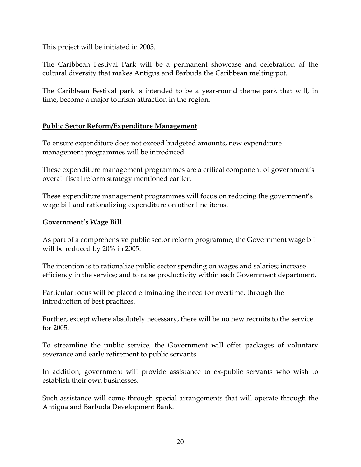This project will be initiated in 2005.

The Caribbean Festival Park will be a permanent showcase and celebration of the cultural diversity that makes Antigua and Barbuda the Caribbean melting pot.

The Caribbean Festival park is intended to be a year-round theme park that will, in time, become a major tourism attraction in the region.

### **Public Sector Reform/Expenditure Management**

To ensure expenditure does not exceed budgeted amounts, new expenditure management programmes will be introduced.

These expenditure management programmes are a critical component of government's overall fiscal reform strategy mentioned earlier.

These expenditure management programmes will focus on reducing the government's wage bill and rationalizing expenditure on other line items.

### **Government's Wage Bill**

As part of a comprehensive public sector reform programme, the Government wage bill will be reduced by 20% in 2005.

The intention is to rationalize public sector spending on wages and salaries; increase efficiency in the service; and to raise productivity within each Government department.

Particular focus will be placed eliminating the need for overtime, through the introduction of best practices.

Further, except where absolutely necessary, there will be no new recruits to the service for 2005.

To streamline the public service, the Government will offer packages of voluntary severance and early retirement to public servants.

In addition, government will provide assistance to ex-public servants who wish to establish their own businesses.

Such assistance will come through special arrangements that will operate through the Antigua and Barbuda Development Bank.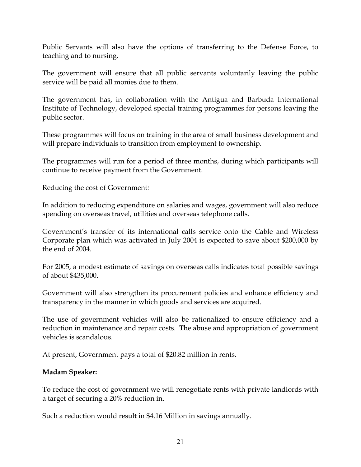Public Servants will also have the options of transferring to the Defense Force, to teaching and to nursing.

The government will ensure that all public servants voluntarily leaving the public service will be paid all monies due to them.

The government has, in collaboration with the Antigua and Barbuda International Institute of Technology, developed special training programmes for persons leaving the public sector.

These programmes will focus on training in the area of small business development and will prepare individuals to transition from employment to ownership.

The programmes will run for a period of three months, during which participants will continue to receive payment from the Government.

Reducing the cost of Government*:* 

In addition to reducing expenditure on salaries and wages, government will also reduce spending on overseas travel, utilities and overseas telephone calls.

Government's transfer of its international calls service onto the Cable and Wireless Corporate plan which was activated in July 2004 is expected to save about \$200,000 by the end of 2004.

For 2005, a modest estimate of savings on overseas calls indicates total possible savings of about \$435,000.

Government will also strengthen its procurement policies and enhance efficiency and transparency in the manner in which goods and services are acquired.

The use of government vehicles will also be rationalized to ensure efficiency and a reduction in maintenance and repair costs. The abuse and appropriation of government vehicles is scandalous.

At present, Government pays a total of \$20.82 million in rents.

## **Madam Speaker:**

To reduce the cost of government we will renegotiate rents with private landlords with a target of securing a 20% reduction in.

Such a reduction would result in \$4.16 Million in savings annually.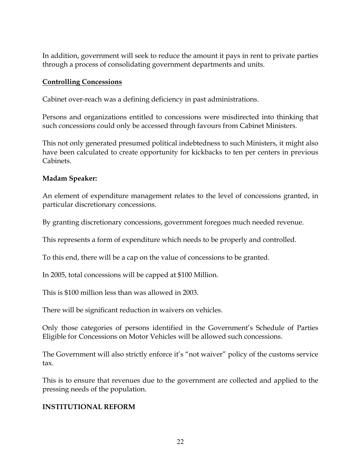In addition, government will seek to reduce the amount it pays in rent to private parties through a process of consolidating government departments and units.

### **Controlling Concessions**

Cabinet over-reach was a defining deficiency in past administrations.

Persons and organizations entitled to concessions were misdirected into thinking that such concessions could only be accessed through favours from Cabinet Ministers.

This not only generated presumed political indebtedness to such Ministers, it might also have been calculated to create opportunity for kickbacks to ten per centers in previous Cabinets.

### **Madam Speaker:**

An element of expenditure management relates to the level of concessions granted, in particular discretionary concessions.

By granting discretionary concessions, government foregoes much needed revenue.

This represents a form of expenditure which needs to be properly and controlled.

To this end, there will be a cap on the value of concessions to be granted.

In 2005, total concessions will be capped at \$100 Million.

This is \$100 million less than was allowed in 2003.

There will be significant reduction in waivers on vehicles.

Only those categories of persons identified in the Government's Schedule of Parties Eligible for Concessions on Motor Vehicles will be allowed such concessions.

The Government will also strictly enforce it's "not waiver" policy of the customs service tax.

This is to ensure that revenues due to the government are collected and applied to the pressing needs of the population.

## **INSTITUTIONAL REFORM**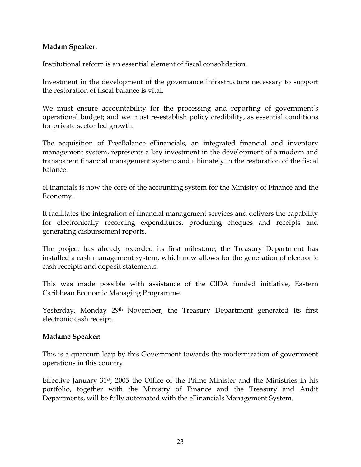### **Madam Speaker:**

Institutional reform is an essential element of fiscal consolidation.

Investment in the development of the governance infrastructure necessary to support the restoration of fiscal balance is vital.

We must ensure accountability for the processing and reporting of government's operational budget; and we must re-establish policy credibility, as essential conditions for private sector led growth.

The acquisition of FreeBalance eFinancials, an integrated financial and inventory management system, represents a key investment in the development of a modern and transparent financial management system; and ultimately in the restoration of the fiscal balance.

eFinancials is now the core of the accounting system for the Ministry of Finance and the Economy.

It facilitates the integration of financial management services and delivers the capability for electronically recording expenditures, producing cheques and receipts and generating disbursement reports.

The project has already recorded its first milestone; the Treasury Department has installed a cash management system, which now allows for the generation of electronic cash receipts and deposit statements.

This was made possible with assistance of the CIDA funded initiative, Eastern Caribbean Economic Managing Programme.

Yesterday, Monday 29th November, the Treasury Department generated its first electronic cash receipt.

#### **Madame Speaker:**

This is a quantum leap by this Government towards the modernization of government operations in this country.

Effective January 31st, 2005 the Office of the Prime Minister and the Ministries in his portfolio, together with the Ministry of Finance and the Treasury and Audit Departments, will be fully automated with the eFinancials Management System.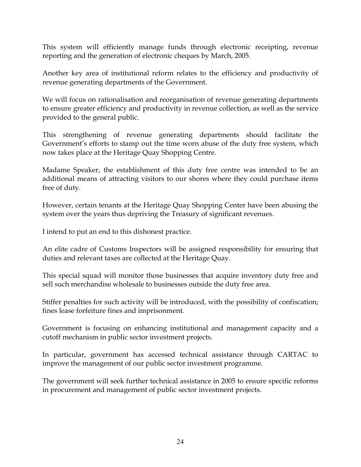This system will efficiently manage funds through electronic receipting, revenue reporting and the generation of electronic cheques by March, 2005.

Another key area of institutional reform relates to the efficiency and productivity of revenue generating departments of the Government.

We will focus on rationalisation and reorganisation of revenue generating departments to ensure greater efficiency and productivity in revenue collection, as well as the service provided to the general public.

This strengthening of revenue generating departments should facilitate the Government's efforts to stamp out the time worn abuse of the duty free system, which now takes place at the Heritage Quay Shopping Centre.

Madame Speaker, the establishment of this duty free centre was intended to be an additional means of attracting visitors to our shores where they could purchase items free of duty.

However, certain tenants at the Heritage Quay Shopping Center have been abusing the system over the years thus depriving the Treasury of significant revenues.

I intend to put an end to this dishonest practice.

An elite cadre of Customs Inspectors will be assigned responsibility for ensuring that duties and relevant taxes are collected at the Heritage Quay.

This special squad will monitor those businesses that acquire inventory duty free and sell such merchandise wholesale to businesses outside the duty free area.

Stiffer penalties for such activity will be introduced, with the possibility of confiscation; fines lease forfeiture fines and imprisonment.

Government is focusing on enhancing institutional and management capacity and a cutoff mechanism in public sector investment projects.

In particular, government has accessed technical assistance through CARTAC to improve the management of our public sector investment programme.

The government will seek further technical assistance in 2005 to ensure specific reforms in procurement and management of public sector investment projects.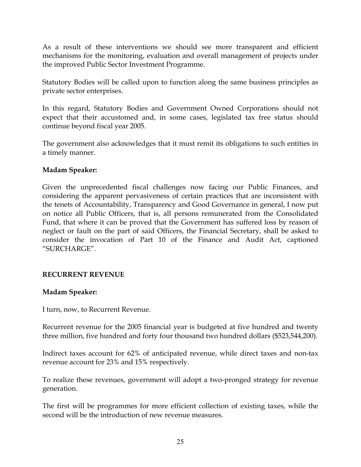As a result of these interventions we should see more transparent and efficient mechanisms for the monitoring, evaluation and overall management of projects under the improved Public Sector Investment Programme.

Statutory Bodies will be called upon to function along the same business principles as private sector enterprises.

In this regard, Statutory Bodies and Government Owned Corporations should not expect that their accustomed and, in some cases, legislated tax free status should continue beyond fiscal year 2005.

The government also acknowledges that it must remit its obligations to such entities in a timely manner.

## **Madam Speaker:**

Given the unprecedented fiscal challenges now facing our Public Finances, and considering the apparent pervasiveness of certain practices that are inconsistent with the tenets of Accountability, Transparency and Good Governance in general, I now put on notice all Public Officers, that is, all persons remunerated from the Consolidated Fund, that where it can be proved that the Government has suffered loss by reason of neglect or fault on the part of said Officers, the Financial Secretary, shall be asked to consider the invocation of Part 10 of the Finance and Audit Act, captioned "SURCHARGE".

#### **RECURRENT REVENUE**

#### **Madam Speaker:**

I turn, now, to Recurrent Revenue.

Recurrent revenue for the 2005 financial year is budgeted at five hundred and twenty three million, five hundred and forty four thousand two hundred dollars (\$523,544,200).

Indirect taxes account for 62% of anticipated revenue, while direct taxes and non-tax revenue account for 23% and 15% respectively.

To realize these revenues, government will adopt a two-pronged strategy for revenue generation.

The first will be programmes for more efficient collection of existing taxes, while the second will be the introduction of new revenue measures.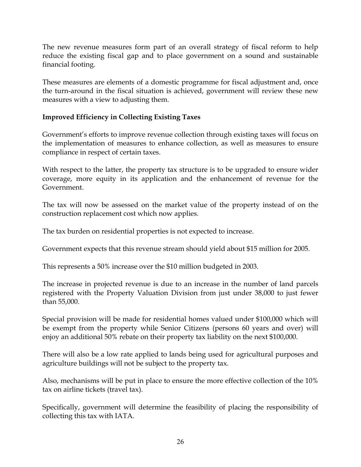The new revenue measures form part of an overall strategy of fiscal reform to help reduce the existing fiscal gap and to place government on a sound and sustainable financial footing.

These measures are elements of a domestic programme for fiscal adjustment and, once the turn-around in the fiscal situation is achieved, government will review these new measures with a view to adjusting them.

### **Improved Efficiency in Collecting Existing Taxes**

Government's efforts to improve revenue collection through existing taxes will focus on the implementation of measures to enhance collection, as well as measures to ensure compliance in respect of certain taxes.

With respect to the latter, the property tax structure is to be upgraded to ensure wider coverage, more equity in its application and the enhancement of revenue for the Government.

The tax will now be assessed on the market value of the property instead of on the construction replacement cost which now applies.

The tax burden on residential properties is not expected to increase.

Government expects that this revenue stream should yield about \$15 million for 2005.

This represents a 50% increase over the \$10 million budgeted in 2003.

The increase in projected revenue is due to an increase in the number of land parcels registered with the Property Valuation Division from just under 38,000 to just fewer than 55,000.

Special provision will be made for residential homes valued under \$100,000 which will be exempt from the property while Senior Citizens (persons 60 years and over) will enjoy an additional 50% rebate on their property tax liability on the next \$100,000.

There will also be a low rate applied to lands being used for agricultural purposes and agriculture buildings will not be subject to the property tax.

Also, mechanisms will be put in place to ensure the more effective collection of the 10% tax on airline tickets (travel tax).

Specifically, government will determine the feasibility of placing the responsibility of collecting this tax with IATA.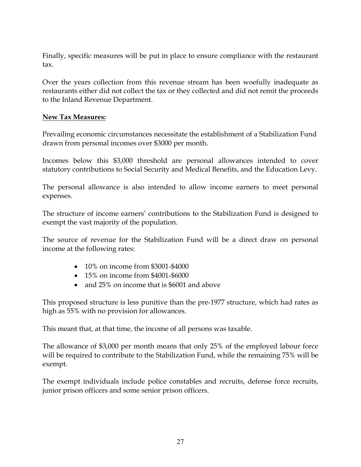Finally, specific measures will be put in place to ensure compliance with the restaurant tax.

Over the years collection from this revenue stream has been woefully inadequate as restaurants either did not collect the tax or they collected and did not remit the proceeds to the Inland Revenue Department.

### **New Tax Measures:**

Prevailing economic circumstances necessitate the establishment of a Stabilization Fund drawn from personal incomes over \$3000 per month.

Incomes below this \$3,000 threshold are personal allowances intended to cover statutory contributions to Social Security and Medical Benefits, and the Education Levy.

The personal allowance is also intended to allow income earners to meet personal expenses.

The structure of income earners' contributions to the Stabilization Fund is designed to exempt the vast majority of the population.

The source of revenue for the Stabilization Fund will be a direct draw on personal income at the following rates:

- 10% on income from \$3001-\$4000
- 15% on income from \$4001-\$6000
- and 25% on income that is \$6001 and above

This proposed structure is less punitive than the pre-1977 structure, which had rates as high as 55% with no provision for allowances.

This meant that, at that time, the income of all persons was taxable.

The allowance of \$3,000 per month means that only 25% of the employed labour force will be required to contribute to the Stabilization Fund, while the remaining 75% will be exempt.

The exempt individuals include police constables and recruits, defense force recruits, junior prison officers and some senior prison officers.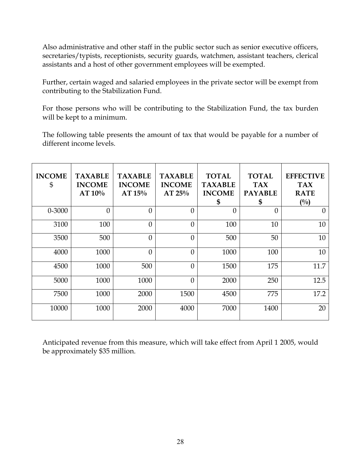Also administrative and other staff in the public sector such as senior executive officers, secretaries/typists, receptionists, security guards, watchmen, assistant teachers, clerical assistants and a host of other government employees will be exempted.

Further, certain waged and salaried employees in the private sector will be exempt from contributing to the Stabilization Fund.

For those persons who will be contributing to the Stabilization Fund, the tax burden will be kept to a minimum.

The following table presents the amount of tax that would be payable for a number of different income levels.

| <b>INCOME</b><br>\$ | <b>TAXABLE</b><br><b>INCOME</b><br>$AT 10\%$ | <b>TAXABLE</b><br><b>INCOME</b><br>AT $15%$ | <b>TAXABLE</b><br><b>INCOME</b><br>AT $25%$ | <b>TOTAL</b><br><b>TAXABLE</b><br><b>INCOME</b><br>\$ | <b>TOTAL</b><br><b>TAX</b><br><b>PAYABLE</b><br>\$ | <b>EFFECTIVE</b><br><b>TAX</b><br><b>RATE</b><br>(0/0) |
|---------------------|----------------------------------------------|---------------------------------------------|---------------------------------------------|-------------------------------------------------------|----------------------------------------------------|--------------------------------------------------------|
| 0-3000              | $\theta$                                     | $\theta$                                    | $\theta$                                    | $\Omega$                                              | $\Omega$                                           | 0                                                      |
| 3100                | 100                                          | $\overline{0}$                              | $\theta$                                    | 100                                                   | 10                                                 | 10                                                     |
| 3500                | 500                                          | $\overline{0}$                              | $\overline{0}$                              | 500                                                   | 50                                                 | 10                                                     |
| 4000                | 1000                                         | $\theta$                                    | $\theta$                                    | 1000                                                  | 100                                                | 10                                                     |
| 4500                | 1000                                         | 500                                         | $\theta$                                    | 1500                                                  | 175                                                | 11.7                                                   |
| 5000                | 1000                                         | 1000                                        | $\overline{0}$                              | 2000                                                  | 250                                                | 12.5                                                   |
| 7500                | 1000                                         | 2000                                        | 1500                                        | 4500                                                  | 775                                                | 17.2                                                   |
| 10000               | 1000                                         | 2000                                        | 4000                                        | 7000                                                  | 1400                                               | 20                                                     |

Anticipated revenue from this measure, which will take effect from April 1 2005, would be approximately \$35 million.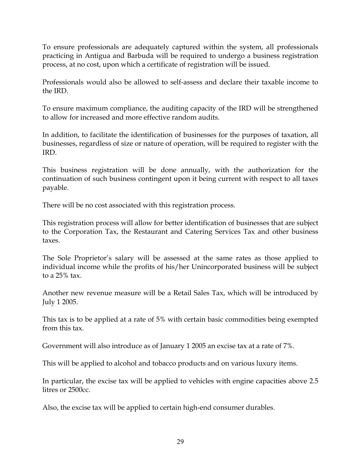To ensure professionals are adequately captured within the system, all professionals practicing in Antigua and Barbuda will be required to undergo a business registration process, at no cost, upon which a certificate of registration will be issued.

Professionals would also be allowed to self-assess and declare their taxable income to the IRD.

To ensure maximum compliance, the auditing capacity of the IRD will be strengthened to allow for increased and more effective random audits.

In addition, to facilitate the identification of businesses for the purposes of taxation, all businesses, regardless of size or nature of operation, will be required to register with the IRD.

This business registration will be done annually, with the authorization for the continuation of such business contingent upon it being current with respect to all taxes payable.

There will be no cost associated with this registration process.

This registration process will allow for better identification of businesses that are subject to the Corporation Tax, the Restaurant and Catering Services Tax and other business taxes.

The Sole Proprietor's salary will be assessed at the same rates as those applied to individual income while the profits of his/her Unincorporated business will be subject to a 25% tax.

Another new revenue measure will be a Retail Sales Tax, which will be introduced by July 1 2005.

This tax is to be applied at a rate of 5% with certain basic commodities being exempted from this tax.

Government will also introduce as of January 1 2005 an excise tax at a rate of 7%.

This will be applied to alcohol and tobacco products and on various luxury items.

In particular, the excise tax will be applied to vehicles with engine capacities above 2.5 litres or 2500cc.

Also, the excise tax will be applied to certain high-end consumer durables.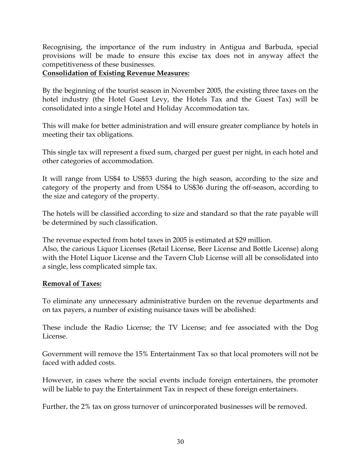Recognising, the importance of the rum industry in Antigua and Barbuda, special provisions will be made to ensure this excise tax does not in anyway affect the competitiveness of these businesses.

#### **Consolidation of Existing Revenue Measures:**

By the beginning of the tourist season in November 2005, the existing three taxes on the hotel industry (the Hotel Guest Levy, the Hotels Tax and the Guest Tax) will be consolidated into a single Hotel and Holiday Accommodation tax.

This will make for better administration and will ensure greater compliance by hotels in meeting their tax obligations.

This single tax will represent a fixed sum, charged per guest per night, in each hotel and other categories of accommodation.

It will range from US\$4 to US\$53 during the high season, according to the size and category of the property and from US\$4 to US\$36 during the off-season, according to the size and category of the property.

The hotels will be classified according to size and standard so that the rate payable will be determined by such classification.

The revenue expected from hotel taxes in 2005 is estimated at \$29 million. Also, the carious Liquor Licenses (Retail License, Beer License and Bottle License) along with the Hotel Liquor License and the Tavern Club License will all be consolidated into a single, less complicated simple tax.

#### **Removal of Taxes:**

To eliminate any unnecessary administrative burden on the revenue departments and on tax payers, a number of existing nuisance taxes will be abolished:

These include the Radio License; the TV License; and fee associated with the Dog License.

Government will remove the 15% Entertainment Tax so that local promoters will not be faced with added costs.

However, in cases where the social events include foreign entertainers, the promoter will be liable to pay the Entertainment Tax in respect of these foreign entertainers.

Further, the 2% tax on gross turnover of unincorporated businesses will be removed.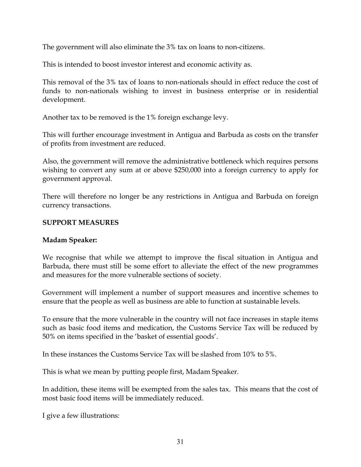The government will also eliminate the 3% tax on loans to non-citizens.

This is intended to boost investor interest and economic activity as.

This removal of the 3% tax of loans to non-nationals should in effect reduce the cost of funds to non-nationals wishing to invest in business enterprise or in residential development.

Another tax to be removed is the 1% foreign exchange levy.

This will further encourage investment in Antigua and Barbuda as costs on the transfer of profits from investment are reduced.

Also, the government will remove the administrative bottleneck which requires persons wishing to convert any sum at or above \$250,000 into a foreign currency to apply for government approval.

There will therefore no longer be any restrictions in Antigua and Barbuda on foreign currency transactions.

#### **SUPPORT MEASURES**

#### **Madam Speaker:**

We recognise that while we attempt to improve the fiscal situation in Antigua and Barbuda, there must still be some effort to alleviate the effect of the new programmes and measures for the more vulnerable sections of society.

Government will implement a number of support measures and incentive schemes to ensure that the people as well as business are able to function at sustainable levels.

To ensure that the more vulnerable in the country will not face increases in staple items such as basic food items and medication, the Customs Service Tax will be reduced by 50% on items specified in the 'basket of essential goods'.

In these instances the Customs Service Tax will be slashed from 10% to 5%.

This is what we mean by putting people first, Madam Speaker.

In addition, these items will be exempted from the sales tax. This means that the cost of most basic food items will be immediately reduced.

I give a few illustrations: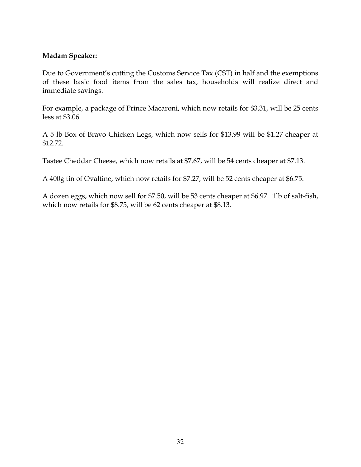### **Madam Speaker:**

Due to Government's cutting the Customs Service Tax (CST) in half and the exemptions of these basic food items from the sales tax, households will realize direct and immediate savings.

For example, a package of Prince Macaroni, which now retails for \$3.31, will be 25 cents less at \$3.06.

A 5 lb Box of Bravo Chicken Legs, which now sells for \$13.99 will be \$1.27 cheaper at \$12.72.

Tastee Cheddar Cheese, which now retails at \$7.67, will be 54 cents cheaper at \$7.13.

A 400g tin of Ovaltine, which now retails for \$7.27, will be 52 cents cheaper at \$6.75.

A dozen eggs, which now sell for \$7.50, will be 53 cents cheaper at \$6.97. 1lb of salt-fish, which now retails for \$8.75, will be 62 cents cheaper at \$8.13.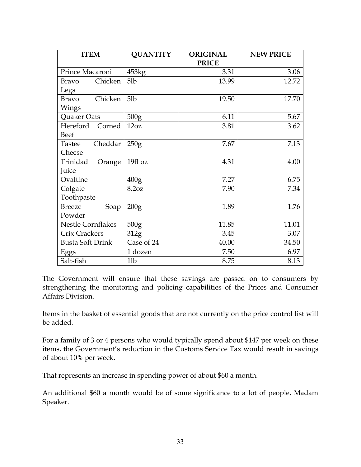| <b>ITEM</b>              | <b>QUANTITY</b>  | <b>ORIGINAL</b> | <b>NEW PRICE</b> |
|--------------------------|------------------|-----------------|------------------|
|                          |                  | <b>PRICE</b>    |                  |
| Prince Macaroni          | 453kg            | 3.31            | 3.06             |
| Chicken<br><b>Bravo</b>  | 5lb              | 13.99           | 12.72            |
| Legs                     |                  |                 |                  |
| Chicken<br><b>Bravo</b>  | 51b              | 19.50           | 17.70            |
| Wings                    |                  |                 |                  |
| Quaker Oats              | 500 <sub>g</sub> | 6.11            | 5.67             |
| Hereford<br>Corned       | 12oz             | 3.81            | 3.62             |
| <b>Beef</b>              |                  |                 |                  |
| Cheddar<br><b>Tastee</b> | 250g             | 7.67            | 7.13             |
| Cheese                   |                  |                 |                  |
| Trinidad<br>Orange       | 19fl oz          | 4.31            | 4.00             |
| Juice                    |                  |                 |                  |
| Ovaltine                 | 400g             | 7.27            | 6.75             |
| Colgate                  | 8.2oz            | 7.90            | 7.34             |
| Toothpaste               |                  |                 |                  |
| <b>Breeze</b><br>Soap    | 200g             | 1.89            | 1.76             |
| Powder                   |                  |                 |                  |
| Nestle Cornflakes        | 500g             | 11.85           | 11.01            |
| Crix Crackers            | 312 <sub>g</sub> | 3.45            | 3.07             |
| <b>Busta Soft Drink</b>  | Case of 24       | 40.00           | 34.50            |
| Eggs                     | 1 dozen          | 7.50            | 6.97             |
| Salt-fish                | 11 <sub>b</sub>  | 8.75            | 8.13             |

The Government will ensure that these savings are passed on to consumers by strengthening the monitoring and policing capabilities of the Prices and Consumer Affairs Division.

Items in the basket of essential goods that are not currently on the price control list will be added.

For a family of 3 or 4 persons who would typically spend about \$147 per week on these items, the Government's reduction in the Customs Service Tax would result in savings of about 10% per week.

That represents an increase in spending power of about \$60 a month.

An additional \$60 a month would be of some significance to a lot of people, Madam Speaker.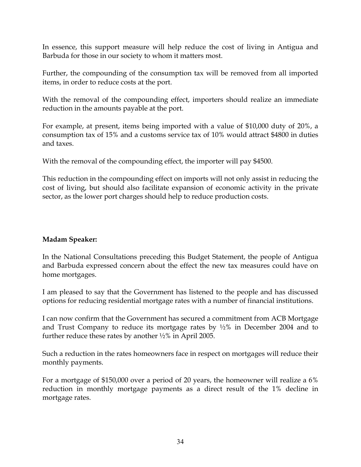In essence, this support measure will help reduce the cost of living in Antigua and Barbuda for those in our society to whom it matters most.

Further, the compounding of the consumption tax will be removed from all imported items, in order to reduce costs at the port.

With the removal of the compounding effect, importers should realize an immediate reduction in the amounts payable at the port.

For example, at present, items being imported with a value of \$10,000 duty of 20%, a consumption tax of 15% and a customs service tax of 10% would attract \$4800 in duties and taxes.

With the removal of the compounding effect, the importer will pay \$4500.

This reduction in the compounding effect on imports will not only assist in reducing the cost of living, but should also facilitate expansion of economic activity in the private sector, as the lower port charges should help to reduce production costs.

## **Madam Speaker:**

In the National Consultations preceding this Budget Statement, the people of Antigua and Barbuda expressed concern about the effect the new tax measures could have on home mortgages.

I am pleased to say that the Government has listened to the people and has discussed options for reducing residential mortgage rates with a number of financial institutions.

I can now confirm that the Government has secured a commitment from ACB Mortgage and Trust Company to reduce its mortgage rates by  $\frac{1}{2}\%$  in December 2004 and to further reduce these rates by another ½% in April 2005.

Such a reduction in the rates homeowners face in respect on mortgages will reduce their monthly payments.

For a mortgage of \$150,000 over a period of 20 years, the homeowner will realize a 6% reduction in monthly mortgage payments as a direct result of the 1% decline in mortgage rates.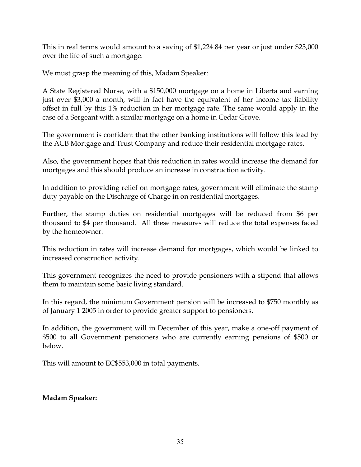This in real terms would amount to a saving of \$1,224.84 per year or just under \$25,000 over the life of such a mortgage.

We must grasp the meaning of this, Madam Speaker:

A State Registered Nurse, with a \$150,000 mortgage on a home in Liberta and earning just over \$3,000 a month, will in fact have the equivalent of her income tax liability offset in full by this 1% reduction in her mortgage rate. The same would apply in the case of a Sergeant with a similar mortgage on a home in Cedar Grove.

The government is confident that the other banking institutions will follow this lead by the ACB Mortgage and Trust Company and reduce their residential mortgage rates.

Also, the government hopes that this reduction in rates would increase the demand for mortgages and this should produce an increase in construction activity.

In addition to providing relief on mortgage rates, government will eliminate the stamp duty payable on the Discharge of Charge in on residential mortgages.

Further, the stamp duties on residential mortgages will be reduced from \$6 per thousand to \$4 per thousand. All these measures will reduce the total expenses faced by the homeowner.

This reduction in rates will increase demand for mortgages, which would be linked to increased construction activity.

This government recognizes the need to provide pensioners with a stipend that allows them to maintain some basic living standard.

In this regard, the minimum Government pension will be increased to \$750 monthly as of January 1 2005 in order to provide greater support to pensioners.

In addition, the government will in December of this year, make a one-off payment of \$500 to all Government pensioners who are currently earning pensions of \$500 or below.

This will amount to EC\$553,000 in total payments.

#### **Madam Speaker:**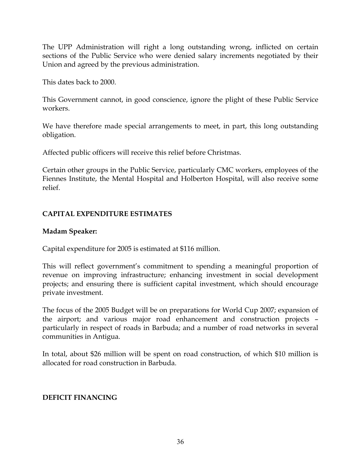The UPP Administration will right a long outstanding wrong, inflicted on certain sections of the Public Service who were denied salary increments negotiated by their Union and agreed by the previous administration.

This dates back to 2000.

This Government cannot, in good conscience, ignore the plight of these Public Service workers.

We have therefore made special arrangements to meet, in part, this long outstanding obligation.

Affected public officers will receive this relief before Christmas.

Certain other groups in the Public Service, particularly CMC workers, employees of the Fiennes Institute, the Mental Hospital and Holberton Hospital, will also receive some relief.

## **CAPITAL EXPENDITURE ESTIMATES**

### **Madam Speaker:**

Capital expenditure for 2005 is estimated at \$116 million.

This will reflect government's commitment to spending a meaningful proportion of revenue on improving infrastructure; enhancing investment in social development projects; and ensuring there is sufficient capital investment, which should encourage private investment.

The focus of the 2005 Budget will be on preparations for World Cup 2007; expansion of the airport; and various major road enhancement and construction projects – particularly in respect of roads in Barbuda; and a number of road networks in several communities in Antigua.

In total, about \$26 million will be spent on road construction, of which \$10 million is allocated for road construction in Barbuda.

#### **DEFICIT FINANCING**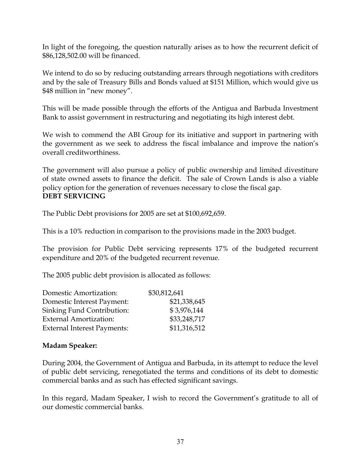In light of the foregoing, the question naturally arises as to how the recurrent deficit of \$86,128,502.00 will be financed.

We intend to do so by reducing outstanding arrears through negotiations with creditors and by the sale of Treasury Bills and Bonds valued at \$151 Million, which would give us \$48 million in "new money".

This will be made possible through the efforts of the Antigua and Barbuda Investment Bank to assist government in restructuring and negotiating its high interest debt.

We wish to commend the ABI Group for its initiative and support in partnering with the government as we seek to address the fiscal imbalance and improve the nation's overall creditworthiness.

The government will also pursue a policy of public ownership and limited divestiture of state owned assets to finance the deficit. The sale of Crown Lands is also a viable policy option for the generation of revenues necessary to close the fiscal gap. **DEBT SERVICING**

The Public Debt provisions for 2005 are set at \$100,692,659.

This is a 10% reduction in comparison to the provisions made in the 2003 budget.

The provision for Public Debt servicing represents 17% of the budgeted recurrent expenditure and 20% of the budgeted recurrent revenue.

The 2005 public debt provision is allocated as follows:

| Domestic Amortization:             | \$30,812,641 |
|------------------------------------|--------------|
| Domestic Interest Payment:         | \$21,338,645 |
| Sinking Fund Contribution:         | \$3,976,144  |
| <b>External Amortization:</b>      | \$33,248,717 |
| <b>External Interest Payments:</b> | \$11,316,512 |

## **Madam Speaker:**

During 2004, the Government of Antigua and Barbuda, in its attempt to reduce the level of public debt servicing, renegotiated the terms and conditions of its debt to domestic commercial banks and as such has effected significant savings.

In this regard, Madam Speaker, I wish to record the Government's gratitude to all of our domestic commercial banks.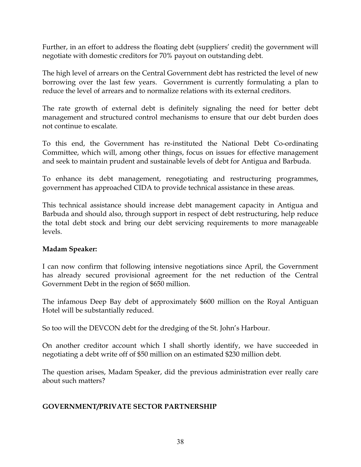Further, in an effort to address the floating debt (suppliers' credit) the government will negotiate with domestic creditors for 70% payout on outstanding debt.

The high level of arrears on the Central Government debt has restricted the level of new borrowing over the last few years. Government is currently formulating a plan to reduce the level of arrears and to normalize relations with its external creditors.

The rate growth of external debt is definitely signaling the need for better debt management and structured control mechanisms to ensure that our debt burden does not continue to escalate.

To this end, the Government has re-instituted the National Debt Co-ordinating Committee, which will, among other things, focus on issues for effective management and seek to maintain prudent and sustainable levels of debt for Antigua and Barbuda.

To enhance its debt management, renegotiating and restructuring programmes, government has approached CIDA to provide technical assistance in these areas.

This technical assistance should increase debt management capacity in Antigua and Barbuda and should also, through support in respect of debt restructuring, help reduce the total debt stock and bring our debt servicing requirements to more manageable levels.

## **Madam Speaker:**

I can now confirm that following intensive negotiations since April, the Government has already secured provisional agreement for the net reduction of the Central Government Debt in the region of \$650 million.

The infamous Deep Bay debt of approximately \$600 million on the Royal Antiguan Hotel will be substantially reduced.

So too will the DEVCON debt for the dredging of the St. John's Harbour.

On another creditor account which I shall shortly identify, we have succeeded in negotiating a debt write off of \$50 million on an estimated \$230 million debt.

The question arises, Madam Speaker, did the previous administration ever really care about such matters?

## **GOVERNMENT/PRIVATE SECTOR PARTNERSHIP**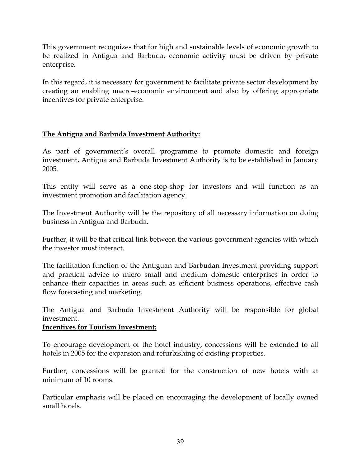This government recognizes that for high and sustainable levels of economic growth to be realized in Antigua and Barbuda, economic activity must be driven by private enterprise.

In this regard, it is necessary for government to facilitate private sector development by creating an enabling macro-economic environment and also by offering appropriate incentives for private enterprise.

# **The Antigua and Barbuda Investment Authority:**

As part of government's overall programme to promote domestic and foreign investment, Antigua and Barbuda Investment Authority is to be established in January 2005.

This entity will serve as a one-stop-shop for investors and will function as an investment promotion and facilitation agency.

The Investment Authority will be the repository of all necessary information on doing business in Antigua and Barbuda.

Further, it will be that critical link between the various government agencies with which the investor must interact.

The facilitation function of the Antiguan and Barbudan Investment providing support and practical advice to micro small and medium domestic enterprises in order to enhance their capacities in areas such as efficient business operations, effective cash flow forecasting and marketing.

The Antigua and Barbuda Investment Authority will be responsible for global investment.

## **Incentives for Tourism Investment:**

To encourage development of the hotel industry, concessions will be extended to all hotels in 2005 for the expansion and refurbishing of existing properties.

Further, concessions will be granted for the construction of new hotels with at minimum of 10 rooms.

Particular emphasis will be placed on encouraging the development of locally owned small hotels.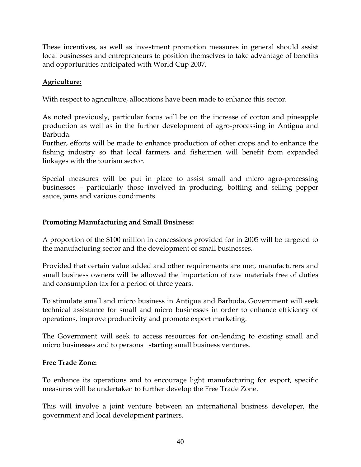These incentives, as well as investment promotion measures in general should assist local businesses and entrepreneurs to position themselves to take advantage of benefits and opportunities anticipated with World Cup 2007.

# **Agriculture:**

With respect to agriculture, allocations have been made to enhance this sector.

As noted previously, particular focus will be on the increase of cotton and pineapple production as well as in the further development of agro-processing in Antigua and Barbuda.

Further, efforts will be made to enhance production of other crops and to enhance the fishing industry so that local farmers and fishermen will benefit from expanded linkages with the tourism sector.

Special measures will be put in place to assist small and micro agro-processing businesses – particularly those involved in producing, bottling and selling pepper sauce, jams and various condiments.

# **Promoting Manufacturing and Small Business:**

A proportion of the \$100 million in concessions provided for in 2005 will be targeted to the manufacturing sector and the development of small businesses.

Provided that certain value added and other requirements are met, manufacturers and small business owners will be allowed the importation of raw materials free of duties and consumption tax for a period of three years.

To stimulate small and micro business in Antigua and Barbuda, Government will seek technical assistance for small and micro businesses in order to enhance efficiency of operations, improve productivity and promote export marketing.

The Government will seek to access resources for on-lending to existing small and micro businesses and to persons starting small business ventures.

## **Free Trade Zone:**

To enhance its operations and to encourage light manufacturing for export, specific measures will be undertaken to further develop the Free Trade Zone.

This will involve a joint venture between an international business developer, the government and local development partners.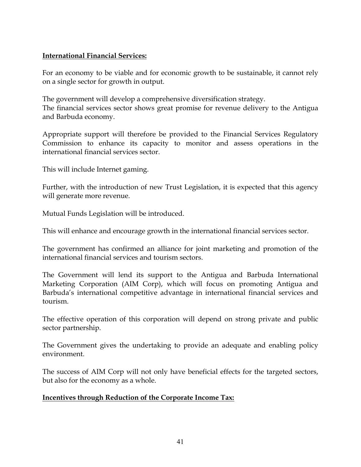## **International Financial Services:**

For an economy to be viable and for economic growth to be sustainable, it cannot rely on a single sector for growth in output.

The government will develop a comprehensive diversification strategy. The financial services sector shows great promise for revenue delivery to the Antigua and Barbuda economy.

Appropriate support will therefore be provided to the Financial Services Regulatory Commission to enhance its capacity to monitor and assess operations in the international financial services sector.

This will include Internet gaming.

Further, with the introduction of new Trust Legislation, it is expected that this agency will generate more revenue.

Mutual Funds Legislation will be introduced.

This will enhance and encourage growth in the international financial services sector.

The government has confirmed an alliance for joint marketing and promotion of the international financial services and tourism sectors.

The Government will lend its support to the Antigua and Barbuda International Marketing Corporation (AIM Corp), which will focus on promoting Antigua and Barbuda's international competitive advantage in international financial services and tourism.

The effective operation of this corporation will depend on strong private and public sector partnership.

The Government gives the undertaking to provide an adequate and enabling policy environment.

The success of AIM Corp will not only have beneficial effects for the targeted sectors, but also for the economy as a whole.

## **Incentives through Reduction of the Corporate Income Tax:**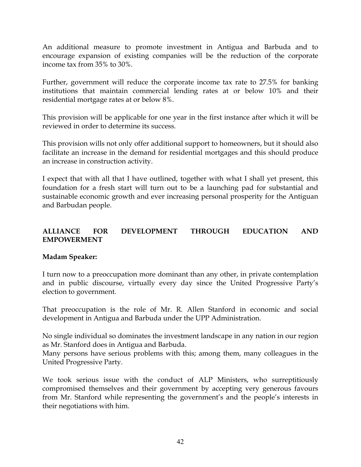An additional measure to promote investment in Antigua and Barbuda and to encourage expansion of existing companies will be the reduction of the corporate income tax from 35% to 30%.

Further, government will reduce the corporate income tax rate to 27.5% for banking institutions that maintain commercial lending rates at or below 10% and their residential mortgage rates at or below 8%.

This provision will be applicable for one year in the first instance after which it will be reviewed in order to determine its success.

This provision wills not only offer additional support to homeowners, but it should also facilitate an increase in the demand for residential mortgages and this should produce an increase in construction activity.

I expect that with all that I have outlined, together with what I shall yet present, this foundation for a fresh start will turn out to be a launching pad for substantial and sustainable economic growth and ever increasing personal prosperity for the Antiguan and Barbudan people.

## **ALLIANCE FOR DEVELOPMENT THROUGH EDUCATION AND EMPOWERMENT**

## **Madam Speaker:**

I turn now to a preoccupation more dominant than any other, in private contemplation and in public discourse, virtually every day since the United Progressive Party's election to government.

That preoccupation is the role of Mr. R. Allen Stanford in economic and social development in Antigua and Barbuda under the UPP Administration.

No single individual so dominates the investment landscape in any nation in our region as Mr. Stanford does in Antigua and Barbuda.

Many persons have serious problems with this; among them, many colleagues in the United Progressive Party.

We took serious issue with the conduct of ALP Ministers, who surreptitiously compromised themselves and their government by accepting very generous favours from Mr. Stanford while representing the government's and the people's interests in their negotiations with him.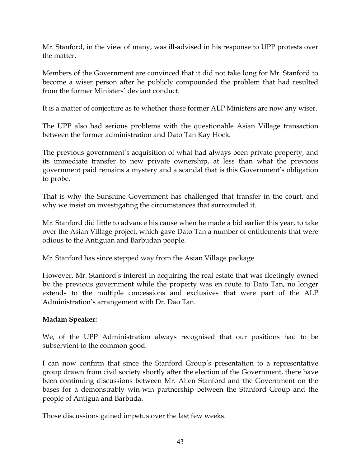Mr. Stanford, in the view of many, was ill-advised in his response to UPP protests over the matter.

Members of the Government are convinced that it did not take long for Mr. Stanford to become a wiser person after he publicly compounded the problem that had resulted from the former Ministers' deviant conduct.

It is a matter of conjecture as to whether those former ALP Ministers are now any wiser.

The UPP also had serious problems with the questionable Asian Village transaction between the former administration and Dato Tan Kay Hock.

The previous government's acquisition of what had always been private property, and its immediate transfer to new private ownership, at less than what the previous government paid remains a mystery and a scandal that is this Government's obligation to probe.

That is why the Sunshine Government has challenged that transfer in the court, and why we insist on investigating the circumstances that surrounded it.

Mr. Stanford did little to advance his cause when he made a bid earlier this year, to take over the Asian Village project, which gave Dato Tan a number of entitlements that were odious to the Antiguan and Barbudan people.

Mr. Stanford has since stepped way from the Asian Village package.

However, Mr. Stanford's interest in acquiring the real estate that was fleetingly owned by the previous government while the property was en route to Dato Tan, no longer extends to the multiple concessions and exclusives that were part of the ALP Administration's arrangement with Dr. Dao Tan.

## **Madam Speaker:**

We, of the UPP Administration always recognised that our positions had to be subservient to the common good.

I can now confirm that since the Stanford Group's presentation to a representative group drawn from civil society shortly after the election of the Government, there have been continuing discussions between Mr. Allen Stanford and the Government on the bases for a demonstrably win-win partnership between the Stanford Group and the people of Antigua and Barbuda.

Those discussions gained impetus over the last few weeks.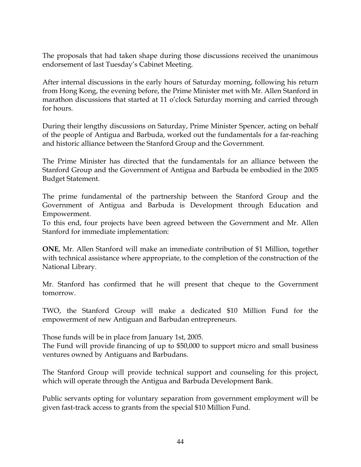The proposals that had taken shape during those discussions received the unanimous endorsement of last Tuesday's Cabinet Meeting.

After internal discussions in the early hours of Saturday morning, following his return from Hong Kong, the evening before, the Prime Minister met with Mr. Allen Stanford in marathon discussions that started at 11 o'clock Saturday morning and carried through for hours.

During their lengthy discussions on Saturday, Prime Minister Spencer, acting on behalf of the people of Antigua and Barbuda, worked out the fundamentals for a far-reaching and historic alliance between the Stanford Group and the Government.

The Prime Minister has directed that the fundamentals for an alliance between the Stanford Group and the Government of Antigua and Barbuda be embodied in the 2005 Budget Statement.

The prime fundamental of the partnership between the Stanford Group and the Government of Antigua and Barbuda is Development through Education and Empowerment.

To this end, four projects have been agreed between the Government and Mr. Allen Stanford for immediate implementation:

**ONE**, Mr. Allen Stanford will make an immediate contribution of \$1 Million, together with technical assistance where appropriate, to the completion of the construction of the National Library.

Mr. Stanford has confirmed that he will present that cheque to the Government tomorrow.

TWO, the Stanford Group will make a dedicated \$10 Million Fund for the empowerment of new Antiguan and Barbudan entrepreneurs.

Those funds will be in place from January 1st, 2005.

The Fund will provide financing of up to \$50,000 to support micro and small business ventures owned by Antiguans and Barbudans.

The Stanford Group will provide technical support and counseling for this project, which will operate through the Antigua and Barbuda Development Bank.

Public servants opting for voluntary separation from government employment will be given fast-track access to grants from the special \$10 Million Fund.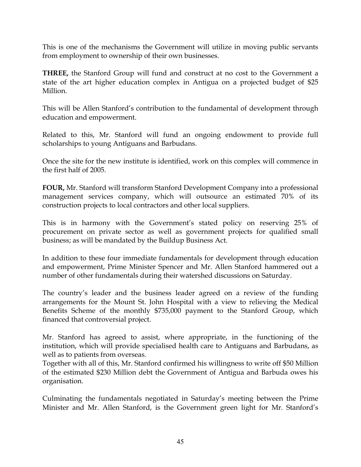This is one of the mechanisms the Government will utilize in moving public servants from employment to ownership of their own businesses.

**THREE,** the Stanford Group will fund and construct at no cost to the Government a state of the art higher education complex in Antigua on a projected budget of \$25 Million.

This will be Allen Stanford's contribution to the fundamental of development through education and empowerment.

Related to this, Mr. Stanford will fund an ongoing endowment to provide full scholarships to young Antiguans and Barbudans.

Once the site for the new institute is identified, work on this complex will commence in the first half of 2005.

**FOUR,** Mr. Stanford will transform Stanford Development Company into a professional management services company, which will outsource an estimated 70% of its construction projects to local contractors and other local suppliers.

This is in harmony with the Government's stated policy on reserving 25% of procurement on private sector as well as government projects for qualified small business; as will be mandated by the Buildup Business Act.

In addition to these four immediate fundamentals for development through education and empowerment, Prime Minister Spencer and Mr. Allen Stanford hammered out a number of other fundamentals during their watershed discussions on Saturday.

The country's leader and the business leader agreed on a review of the funding arrangements for the Mount St. John Hospital with a view to relieving the Medical Benefits Scheme of the monthly \$735,000 payment to the Stanford Group, which financed that controversial project.

Mr. Stanford has agreed to assist, where appropriate, in the functioning of the institution, which will provide specialised health care to Antiguans and Barbudans, as well as to patients from overseas.

Together with all of this, Mr. Stanford confirmed his willingness to write off \$50 Million of the estimated \$230 Million debt the Government of Antigua and Barbuda owes his organisation.

Culminating the fundamentals negotiated in Saturday's meeting between the Prime Minister and Mr. Allen Stanford, is the Government green light for Mr. Stanford's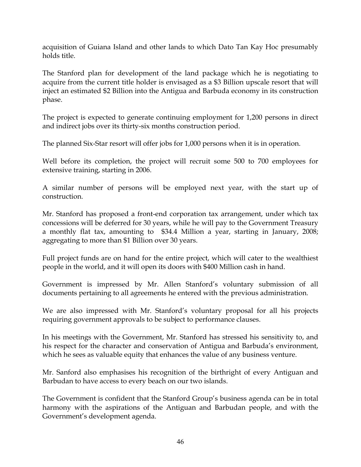acquisition of Guiana Island and other lands to which Dato Tan Kay Hoc presumably holds title.

The Stanford plan for development of the land package which he is negotiating to acquire from the current title holder is envisaged as a \$3 Billion upscale resort that will inject an estimated \$2 Billion into the Antigua and Barbuda economy in its construction phase.

The project is expected to generate continuing employment for 1,200 persons in direct and indirect jobs over its thirty-six months construction period.

The planned Six-Star resort will offer jobs for 1,000 persons when it is in operation.

Well before its completion, the project will recruit some 500 to 700 employees for extensive training, starting in 2006.

A similar number of persons will be employed next year, with the start up of construction.

Mr. Stanford has proposed a front-end corporation tax arrangement, under which tax concessions will be deferred for 30 years, while he will pay to the Government Treasury a monthly flat tax, amounting to \$34.4 Million a year, starting in January, 2008; aggregating to more than \$1 Billion over 30 years.

Full project funds are on hand for the entire project, which will cater to the wealthiest people in the world, and it will open its doors with \$400 Million cash in hand.

Government is impressed by Mr. Allen Stanford's voluntary submission of all documents pertaining to all agreements he entered with the previous administration.

We are also impressed with Mr. Stanford's voluntary proposal for all his projects requiring government approvals to be subject to performance clauses.

In his meetings with the Government, Mr. Stanford has stressed his sensitivity to, and his respect for the character and conservation of Antigua and Barbuda's environment, which he sees as valuable equity that enhances the value of any business venture.

Mr. Sanford also emphasises his recognition of the birthright of every Antiguan and Barbudan to have access to every beach on our two islands.

The Government is confident that the Stanford Group's business agenda can be in total harmony with the aspirations of the Antiguan and Barbudan people, and with the Government's development agenda.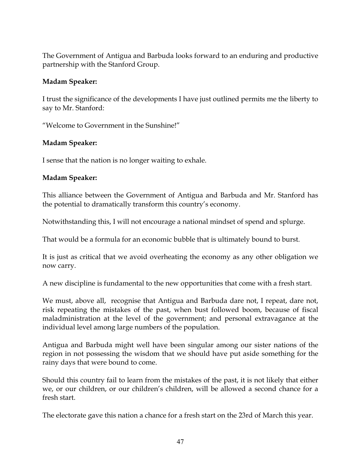The Government of Antigua and Barbuda looks forward to an enduring and productive partnership with the Stanford Group.

### **Madam Speaker:**

I trust the significance of the developments I have just outlined permits me the liberty to say to Mr. Stanford:

"Welcome to Government in the Sunshine!"

## **Madam Speaker:**

I sense that the nation is no longer waiting to exhale.

### **Madam Speaker:**

This alliance between the Government of Antigua and Barbuda and Mr. Stanford has the potential to dramatically transform this country's economy.

Notwithstanding this, I will not encourage a national mindset of spend and splurge.

That would be a formula for an economic bubble that is ultimately bound to burst.

It is just as critical that we avoid overheating the economy as any other obligation we now carry.

A new discipline is fundamental to the new opportunities that come with a fresh start.

We must, above all, recognise that Antigua and Barbuda dare not, I repeat, dare not, risk repeating the mistakes of the past, when bust followed boom, because of fiscal maladministration at the level of the government; and personal extravagance at the individual level among large numbers of the population.

Antigua and Barbuda might well have been singular among our sister nations of the region in not possessing the wisdom that we should have put aside something for the rainy days that were bound to come.

Should this country fail to learn from the mistakes of the past, it is not likely that either we, or our children, or our children's children, will be allowed a second chance for a fresh start.

The electorate gave this nation a chance for a fresh start on the 23rd of March this year.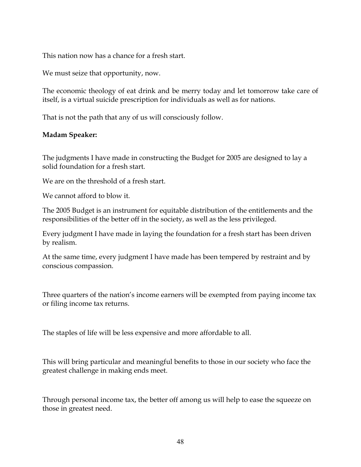This nation now has a chance for a fresh start.

We must seize that opportunity, now.

The economic theology of eat drink and be merry today and let tomorrow take care of itself, is a virtual suicide prescription for individuals as well as for nations.

That is not the path that any of us will consciously follow.

## **Madam Speaker:**

The judgments I have made in constructing the Budget for 2005 are designed to lay a solid foundation for a fresh start.

We are on the threshold of a fresh start.

We cannot afford to blow it.

The 2005 Budget is an instrument for equitable distribution of the entitlements and the responsibilities of the better off in the society, as well as the less privileged.

Every judgment I have made in laying the foundation for a fresh start has been driven by realism.

At the same time, every judgment I have made has been tempered by restraint and by conscious compassion.

Three quarters of the nation's income earners will be exempted from paying income tax or filing income tax returns.

The staples of life will be less expensive and more affordable to all.

This will bring particular and meaningful benefits to those in our society who face the greatest challenge in making ends meet.

Through personal income tax, the better off among us will help to ease the squeeze on those in greatest need.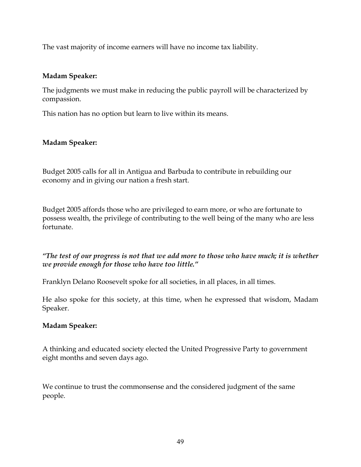The vast majority of income earners will have no income tax liability.

### **Madam Speaker:**

The judgments we must make in reducing the public payroll will be characterized by compassion.

This nation has no option but learn to live within its means.

# **Madam Speaker:**

Budget 2005 calls for all in Antigua and Barbuda to contribute in rebuilding our economy and in giving our nation a fresh start.

Budget 2005 affords those who are privileged to earn more, or who are fortunate to possess wealth, the privilege of contributing to the well being of the many who are less fortunate.

# *"The test of our progress is not that we add more to those who have much; it is whether we provide enough for those who have too little."*

Franklyn Delano Roosevelt spoke for all societies, in all places, in all times.

He also spoke for this society, at this time, when he expressed that wisdom, Madam Speaker.

## **Madam Speaker:**

A thinking and educated society elected the United Progressive Party to government eight months and seven days ago.

We continue to trust the commonsense and the considered judgment of the same people.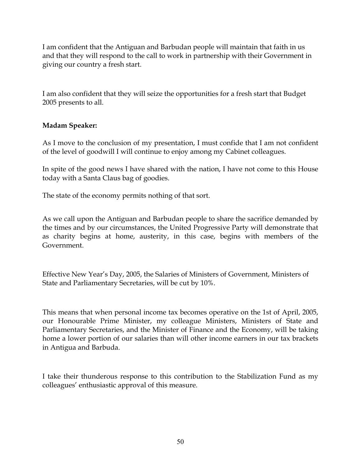I am confident that the Antiguan and Barbudan people will maintain that faith in us and that they will respond to the call to work in partnership with their Government in giving our country a fresh start.

I am also confident that they will seize the opportunities for a fresh start that Budget 2005 presents to all.

## **Madam Speaker:**

As I move to the conclusion of my presentation, I must confide that I am not confident of the level of goodwill I will continue to enjoy among my Cabinet colleagues.

In spite of the good news I have shared with the nation, I have not come to this House today with a Santa Claus bag of goodies.

The state of the economy permits nothing of that sort.

As we call upon the Antiguan and Barbudan people to share the sacrifice demanded by the times and by our circumstances, the United Progressive Party will demonstrate that as charity begins at home, austerity, in this case, begins with members of the Government.

Effective New Year's Day, 2005, the Salaries of Ministers of Government, Ministers of State and Parliamentary Secretaries, will be cut by 10%.

This means that when personal income tax becomes operative on the 1st of April, 2005, our Honourable Prime Minister, my colleague Ministers, Ministers of State and Parliamentary Secretaries, and the Minister of Finance and the Economy, will be taking home a lower portion of our salaries than will other income earners in our tax brackets in Antigua and Barbuda.

I take their thunderous response to this contribution to the Stabilization Fund as my colleagues' enthusiastic approval of this measure.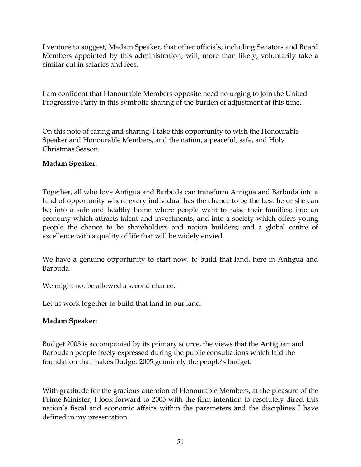I venture to suggest, Madam Speaker, that other officials, including Senators and Board Members appointed by this administration, will, more than likely, voluntarily take a similar cut in salaries and fees.

I am confident that Honourable Members opposite need no urging to join the United Progressive Party in this symbolic sharing of the burden of adjustment at this time.

On this note of caring and sharing, I take this opportunity to wish the Honourable Speaker and Honourable Members, and the nation, a peaceful, safe, and Holy Christmas Season.

## **Madam Speaker:**

Together, all who love Antigua and Barbuda can transform Antigua and Barbuda into a land of opportunity where every individual has the chance to be the best he or she can be; into a safe and healthy home where people want to raise their families; into an economy which attracts talent and investments; and into a society which offers young people the chance to be shareholders and nation builders; and a global centre of excellence with a quality of life that will be widely envied.

We have a genuine opportunity to start now, to build that land, here in Antigua and Barbuda.

We might not be allowed a second chance.

Let us work together to build that land in our land.

# **Madam Speaker:**

Budget 2005 is accompanied by its primary source, the views that the Antiguan and Barbudan people freely expressed during the public consultations which laid the foundation that makes Budget 2005 genuinely the people's budget.

With gratitude for the gracious attention of Honourable Members, at the pleasure of the Prime Minister, I look forward to 2005 with the firm intention to resolutely direct this nation's fiscal and economic affairs within the parameters and the disciplines I have defined in my presentation.